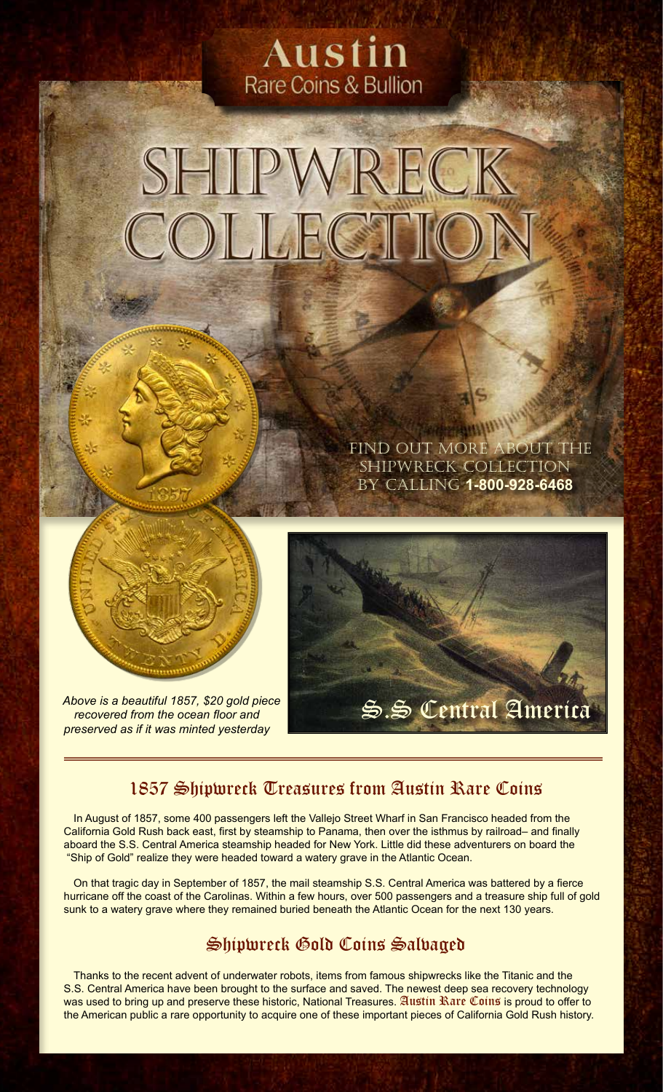### Austin Rare Coins & Bullion

# SHIPWRECK COLLEG

Find out more about the Shipwreck Collection by calling **1-800-928-6468**



*recovered from the ocean floor and preserved as if it was minted yesterday*



### 1857 Shipwreck Treasures from Austin Rare Coins

In August of 1857, some 400 passengers left the Vallejo Street Wharf in San Francisco headed from the California Gold Rush back east, first by steamship to Panama, then over the isthmus by railroad– and finally aboard the S.S. Central America steamship headed for New York. Little did these adventurers on board the "Ship of Gold" realize they were headed toward a watery grave in the Atlantic Ocean.

On that tragic day in September of 1857, the mail steamship S.S. Central America was battered by a fierce hurricane off the coast of the Carolinas. Within a few hours, over 500 passengers and a treasure ship full of gold sunk to a watery grave where they remained buried beneath the Atlantic Ocean for the next 130 years.

### Shipwreck Gold Coins Salvaged

Thanks to the recent advent of underwater robots, items from famous shipwrecks like the Titanic and the S.S. Central America have been brought to the surface and saved. The newest deep sea recovery technology was used to bring up and preserve these historic, National Treasures. Austin Rare Coins is proud to offer to the American public a rare opportunity to acquire one of these important pieces of California Gold Rush history.